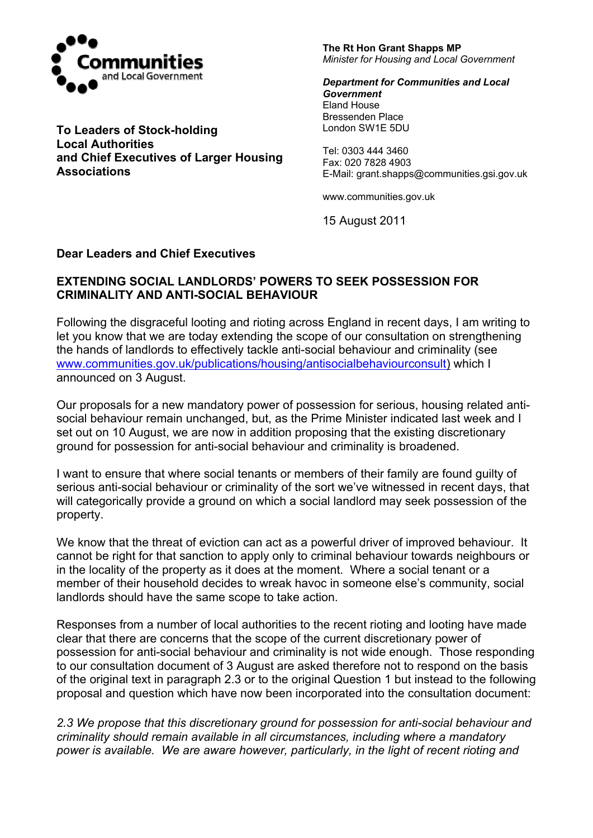

**To Leaders of Stock-holding Local Authorities and Chief Executives of Larger Housing Associations** 

**The Rt Hon Grant Shapps MP**  *Minister for Housing and Local Government* 

*Department for Communities and Local Government*  Eland House Bressenden Place London SW1E 5DU

Tel: 0303 444 3460 Fax: 020 7828 4903 E-Mail: grant.shapps@communities.gsi.gov.uk

www.communities.gov.uk

15 August 2011

## **Dear Leaders and Chief Executives**

## **EXTENDING SOCIAL LANDLORDS' POWERS TO SEEK POSSESSION FOR CRIMINALITY AND ANTI-SOCIAL BEHAVIOUR**

Following the disgraceful looting and rioting across England in recent days, I am writing to let you know that we are today extending the scope of our consultation on strengthening the hands of landlords to effectively tackle anti-social behaviour and criminality (see [www.communities.gov.uk/publications/housing/antisocialbehaviourconsult](http://www.communities.gov.uk/publications/housing/antisocialbehaviourconsult)) which I announced on 3 August.

Our proposals for a new mandatory power of possession for serious, housing related antisocial behaviour remain unchanged, but, as the Prime Minister indicated last week and I set out on 10 August, we are now in addition proposing that the existing discretionary ground for possession for anti-social behaviour and criminality is broadened.

I want to ensure that where social tenants or members of their family are found guilty of serious anti-social behaviour or criminality of the sort we've witnessed in recent days, that will categorically provide a ground on which a social landlord may seek possession of the property.

We know that the threat of eviction can act as a powerful driver of improved behaviour. It cannot be right for that sanction to apply only to criminal behaviour towards neighbours or in the locality of the property as it does at the moment. Where a social tenant or a member of their household decides to wreak havoc in someone else's community, social landlords should have the same scope to take action.

Responses from a number of local authorities to the recent rioting and looting have made clear that there are concerns that the scope of the current discretionary power of possession for anti-social behaviour and criminality is not wide enough. Those responding to our consultation document of 3 August are asked therefore not to respond on the basis of the original text in paragraph 2.3 or to the original Question 1 but instead to the following proposal and question which have now been incorporated into the consultation document:

*2.3 We propose that this discretionary ground for possession for anti-social behaviour and criminality should remain available in all circumstances, including where a mandatory power is available. We are aware however, particularly, in the light of recent rioting and*